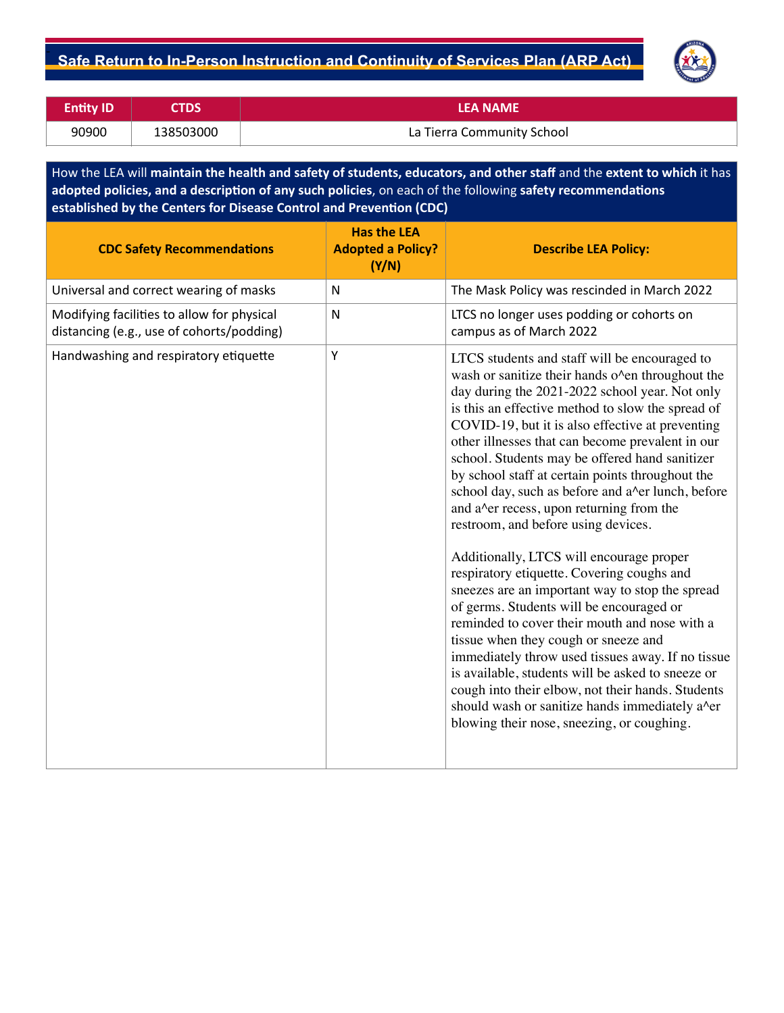

| <b>Entity ID</b> | <b>CTDS</b> | <b>LEA NAME</b>            |
|------------------|-------------|----------------------------|
| 90900            | 138503000   | La Tierra Community School |

How the LEA will **maintain the health and safety of students, educators, and other staf** and the **extent to which** it has **adopted policies, and a description of any such policies**, on each of the following **safety recommendations established by the Centers for Disease Control and Prevention (CDC)**

| Universal and correct wearing of masks<br>The Mask Policy was rescinded in March 2022<br>N<br>$\mathsf{N}$                                                                                                                                                                                                                                                                                                                                                                                                                                                                                                                                             | <b>CDC Safety Recommendations</b>          | <b>Has the LEA</b><br><b>Adopted a Policy?</b><br>(Y/N) | <b>Describe LEA Policy:</b>                                                                                                                                                                                                                                                                                                                                                                                                                                                                                                                      |
|--------------------------------------------------------------------------------------------------------------------------------------------------------------------------------------------------------------------------------------------------------------------------------------------------------------------------------------------------------------------------------------------------------------------------------------------------------------------------------------------------------------------------------------------------------------------------------------------------------------------------------------------------------|--------------------------------------------|---------------------------------------------------------|--------------------------------------------------------------------------------------------------------------------------------------------------------------------------------------------------------------------------------------------------------------------------------------------------------------------------------------------------------------------------------------------------------------------------------------------------------------------------------------------------------------------------------------------------|
|                                                                                                                                                                                                                                                                                                                                                                                                                                                                                                                                                                                                                                                        |                                            |                                                         |                                                                                                                                                                                                                                                                                                                                                                                                                                                                                                                                                  |
| distancing (e.g., use of cohorts/podding)<br>campus as of March 2022                                                                                                                                                                                                                                                                                                                                                                                                                                                                                                                                                                                   | Modifying facilities to allow for physical |                                                         | LTCS no longer uses podding or cohorts on                                                                                                                                                                                                                                                                                                                                                                                                                                                                                                        |
| Handwashing and respiratory etiquette<br>Y<br>LTCS students and staff will be encouraged to<br>school. Students may be offered hand sanitizer<br>by school staff at certain points throughout the<br>and a <sup><math>\lambda</math></sup> er recess, upon returning from the<br>restroom, and before using devices.<br>Additionally, LTCS will encourage proper<br>respiratory etiquette. Covering coughs and<br>of germs. Students will be encouraged or<br>reminded to cover their mouth and nose with a<br>tissue when they cough or sneeze and<br>is available, students will be asked to sneeze or<br>blowing their nose, sneezing, or coughing. |                                            |                                                         | wash or sanitize their hands o'en throughout the<br>day during the 2021-2022 school year. Not only<br>is this an effective method to slow the spread of<br>COVID-19, but it is also effective at preventing<br>other illnesses that can become prevalent in our<br>school day, such as before and a^er lunch, before<br>sneezes are an important way to stop the spread<br>immediately throw used tissues away. If no tissue<br>cough into their elbow, not their hands. Students<br>should wash or sanitize hands immediately a <sup>^</sup> er |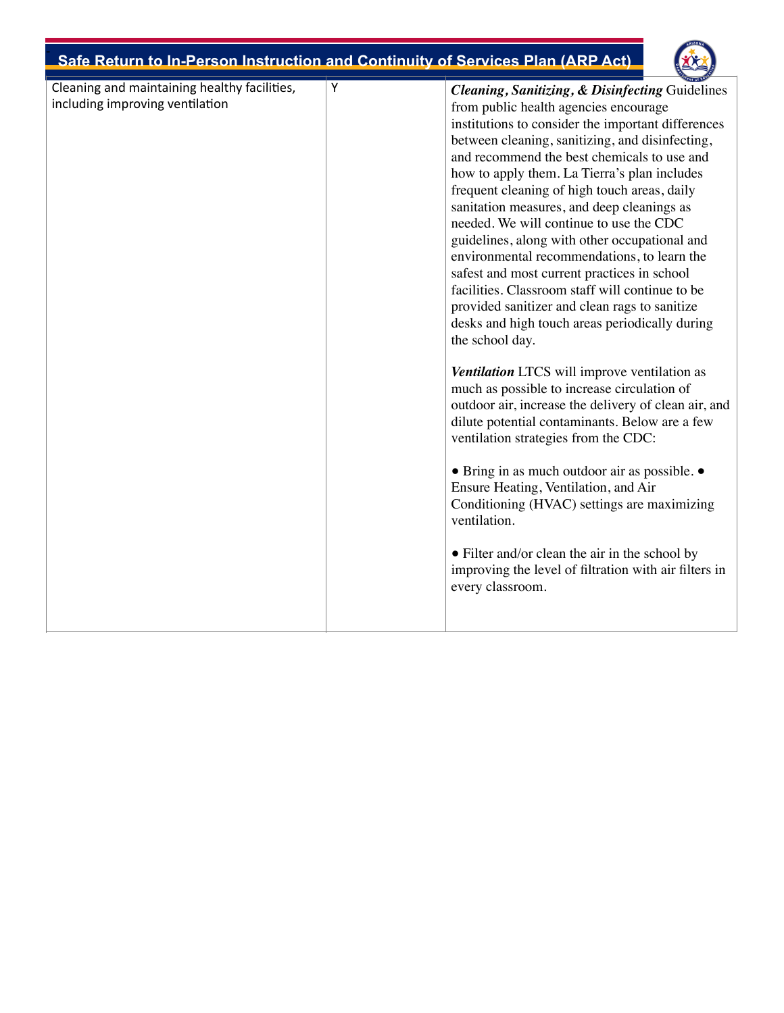

| Cleaning and maintaining healthy facilities, | Υ | <b>Cleaning, Sanitizing, &amp; Disinfecting Guidelines</b>                                  |
|----------------------------------------------|---|---------------------------------------------------------------------------------------------|
| including improving ventilation              |   | from public health agencies encourage                                                       |
|                                              |   | institutions to consider the important differences                                          |
|                                              |   | between cleaning, sanitizing, and disinfecting,                                             |
|                                              |   | and recommend the best chemicals to use and                                                 |
|                                              |   | how to apply them. La Tierra's plan includes                                                |
|                                              |   | frequent cleaning of high touch areas, daily                                                |
|                                              |   | sanitation measures, and deep cleanings as                                                  |
|                                              |   | needed. We will continue to use the CDC                                                     |
|                                              |   | guidelines, along with other occupational and                                               |
|                                              |   | environmental recommendations, to learn the                                                 |
|                                              |   | safest and most current practices in school                                                 |
|                                              |   | facilities. Classroom staff will continue to be                                             |
|                                              |   | provided sanitizer and clean rags to sanitize                                               |
|                                              |   | desks and high touch areas periodically during                                              |
|                                              |   | the school day.                                                                             |
|                                              |   | Ventilation LTCS will improve ventilation as<br>much as possible to increase circulation of |
|                                              |   | outdoor air, increase the delivery of clean air, and                                        |
|                                              |   | dilute potential contaminants. Below are a few                                              |
|                                              |   | ventilation strategies from the CDC:                                                        |
|                                              |   | • Bring in as much outdoor air as possible. •                                               |
|                                              |   | Ensure Heating, Ventilation, and Air                                                        |
|                                              |   | Conditioning (HVAC) settings are maximizing                                                 |
|                                              |   | ventilation.                                                                                |
|                                              |   |                                                                                             |
|                                              |   | • Filter and/or clean the air in the school by                                              |
|                                              |   | improving the level of filtration with air filters in                                       |
|                                              |   | every classroom.                                                                            |
|                                              |   |                                                                                             |
|                                              |   |                                                                                             |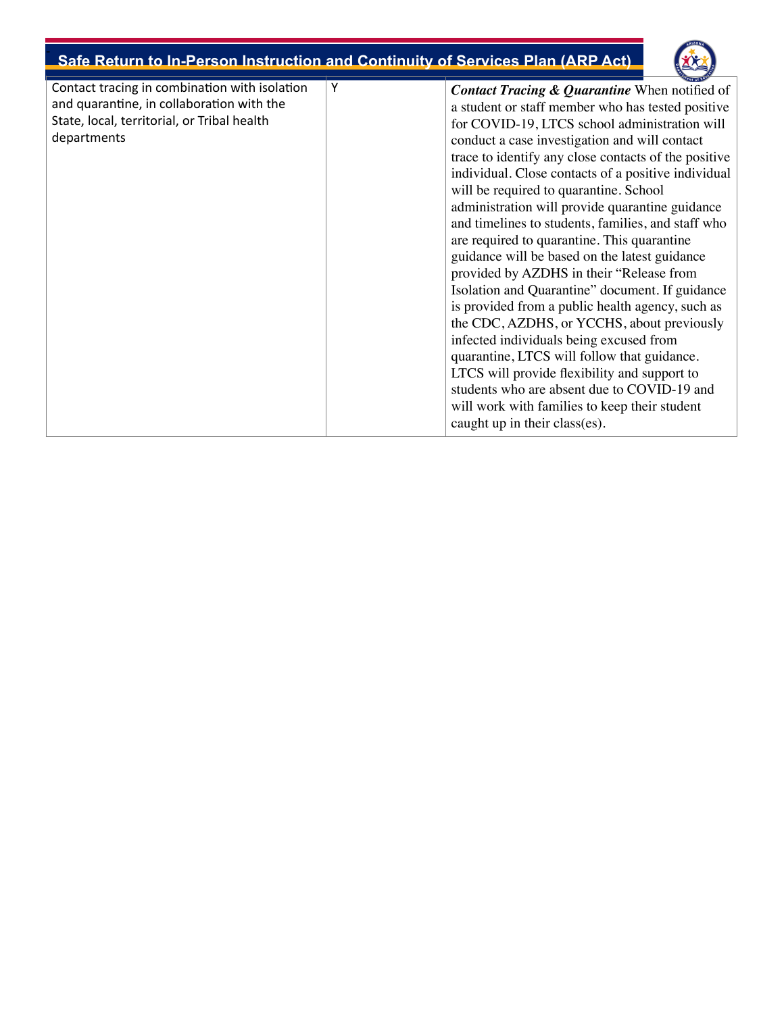

| Contact tracing in combination with isolation<br>and quarantine, in collaboration with the<br>State, local, territorial, or Tribal health<br>departments | Υ | <b>Contact Tracing &amp; Quarantine</b> When notified of<br>a student or staff member who has tested positive<br>for COVID-19, LTCS school administration will<br>conduct a case investigation and will contact<br>trace to identify any close contacts of the positive<br>individual. Close contacts of a positive individual<br>will be required to quarantine. School<br>administration will provide quarantine guidance<br>and timelines to students, families, and staff who<br>are required to quarantine. This quarantine<br>guidance will be based on the latest guidance<br>provided by AZDHS in their "Release from<br>Isolation and Quarantine" document. If guidance<br>is provided from a public health agency, such as<br>the CDC, AZDHS, or YCCHS, about previously<br>infected individuals being excused from<br>quarantine, LTCS will follow that guidance.<br>LTCS will provide flexibility and support to<br>students who are absent due to COVID-19 and<br>will work with families to keep their student<br>caught up in their class(es). |
|----------------------------------------------------------------------------------------------------------------------------------------------------------|---|---------------------------------------------------------------------------------------------------------------------------------------------------------------------------------------------------------------------------------------------------------------------------------------------------------------------------------------------------------------------------------------------------------------------------------------------------------------------------------------------------------------------------------------------------------------------------------------------------------------------------------------------------------------------------------------------------------------------------------------------------------------------------------------------------------------------------------------------------------------------------------------------------------------------------------------------------------------------------------------------------------------------------------------------------------------|
|----------------------------------------------------------------------------------------------------------------------------------------------------------|---|---------------------------------------------------------------------------------------------------------------------------------------------------------------------------------------------------------------------------------------------------------------------------------------------------------------------------------------------------------------------------------------------------------------------------------------------------------------------------------------------------------------------------------------------------------------------------------------------------------------------------------------------------------------------------------------------------------------------------------------------------------------------------------------------------------------------------------------------------------------------------------------------------------------------------------------------------------------------------------------------------------------------------------------------------------------|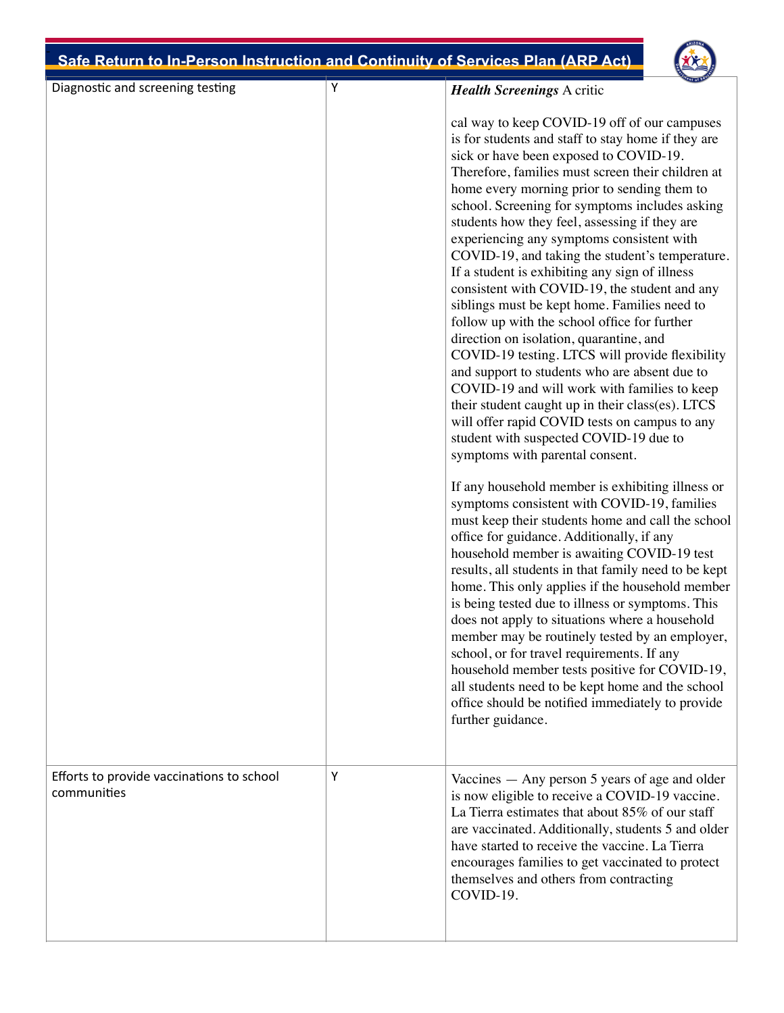

| Diagnostic and screening testing                         | Υ | <b>Health Screenings A critic</b>                                                                                                                                                                                                                                                                                                                                                                                                                                                                                                                                                                                                                                                                                                                                                                                                                                                                                                                                                                                                       |
|----------------------------------------------------------|---|-----------------------------------------------------------------------------------------------------------------------------------------------------------------------------------------------------------------------------------------------------------------------------------------------------------------------------------------------------------------------------------------------------------------------------------------------------------------------------------------------------------------------------------------------------------------------------------------------------------------------------------------------------------------------------------------------------------------------------------------------------------------------------------------------------------------------------------------------------------------------------------------------------------------------------------------------------------------------------------------------------------------------------------------|
|                                                          |   | cal way to keep COVID-19 off of our campuses<br>is for students and staff to stay home if they are<br>sick or have been exposed to COVID-19.<br>Therefore, families must screen their children at<br>home every morning prior to sending them to<br>school. Screening for symptoms includes asking<br>students how they feel, assessing if they are<br>experiencing any symptoms consistent with<br>COVID-19, and taking the student's temperature.<br>If a student is exhibiting any sign of illness<br>consistent with COVID-19, the student and any<br>siblings must be kept home. Families need to<br>follow up with the school office for further<br>direction on isolation, quarantine, and<br>COVID-19 testing. LTCS will provide flexibility<br>and support to students who are absent due to<br>COVID-19 and will work with families to keep<br>their student caught up in their class(es). LTCS<br>will offer rapid COVID tests on campus to any<br>student with suspected COVID-19 due to<br>symptoms with parental consent. |
|                                                          |   | If any household member is exhibiting illness or<br>symptoms consistent with COVID-19, families<br>must keep their students home and call the school<br>office for guidance. Additionally, if any<br>household member is awaiting COVID-19 test<br>results, all students in that family need to be kept<br>home. This only applies if the household member<br>is being tested due to illness or symptoms. This<br>does not apply to situations where a household<br>member may be routinely tested by an employer,<br>school, or for travel requirements. If any<br>household member tests positive for COVID-19,<br>all students need to be kept home and the school<br>office should be notified immediately to provide<br>further guidance.                                                                                                                                                                                                                                                                                          |
| Efforts to provide vaccinations to school<br>communities | Υ | Vaccines - Any person 5 years of age and older<br>is now eligible to receive a COVID-19 vaccine.<br>La Tierra estimates that about 85% of our staff<br>are vaccinated. Additionally, students 5 and older<br>have started to receive the vaccine. La Tierra<br>encourages families to get vaccinated to protect<br>themselves and others from contracting<br>COVID-19.                                                                                                                                                                                                                                                                                                                                                                                                                                                                                                                                                                                                                                                                  |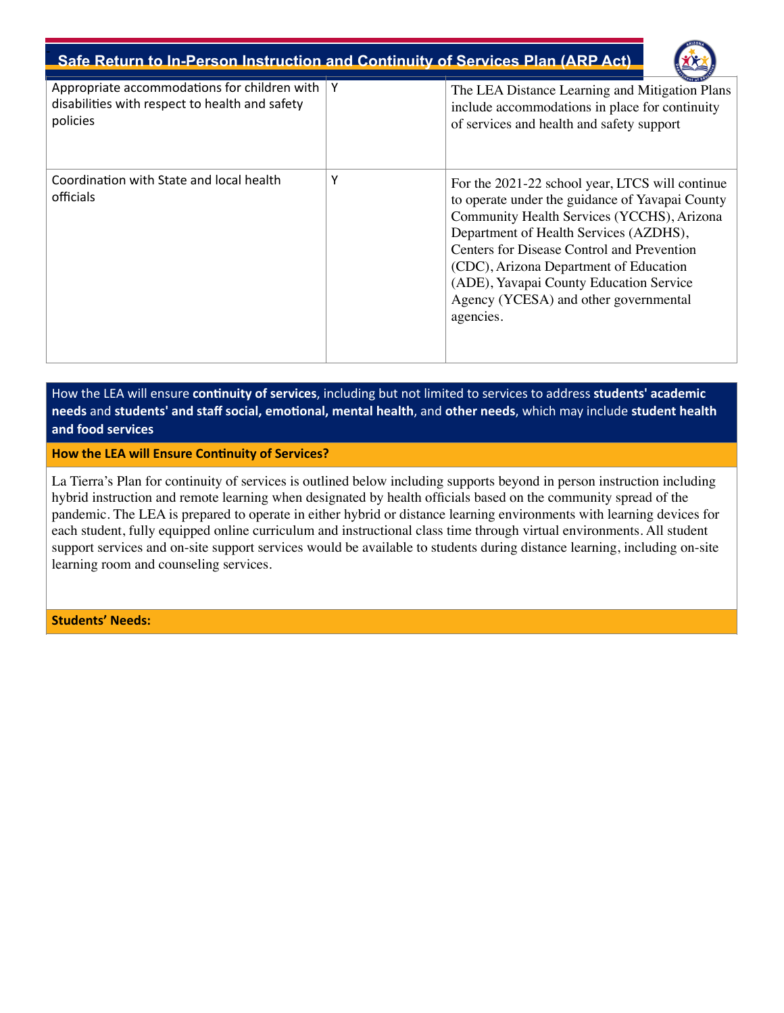

| Appropriate accommodations for children with<br>disabilities with respect to health and safety<br>policies | Y | The LEA Distance Learning and Mitigation Plans<br>include accommodations in place for continuity<br>of services and health and safety support                                                                                                                                                                                                                                       |
|------------------------------------------------------------------------------------------------------------|---|-------------------------------------------------------------------------------------------------------------------------------------------------------------------------------------------------------------------------------------------------------------------------------------------------------------------------------------------------------------------------------------|
| Coordination with State and local health<br>officials                                                      | Υ | For the 2021-22 school year, LTCS will continue<br>to operate under the guidance of Yavapai County<br>Community Health Services (YCCHS), Arizona<br>Department of Health Services (AZDHS),<br>Centers for Disease Control and Prevention<br>(CDC), Arizona Department of Education<br>(ADE), Yavapai County Education Service<br>Agency (YCESA) and other governmental<br>agencies. |

How the LEA will ensure **continuity of services**, including but not limited to services to address **students' academic needs** and **students' and staff social, emotional, mental health**, and **other needs**, which may include **student health and food services**

**How the LEA will Ensure Continuity of Services?**

La Tierra's Plan for continuity of services is outlined below including supports beyond in person instruction including hybrid instruction and remote learning when designated by health officials based on the community spread of the pandemic. The LEA is prepared to operate in either hybrid or distance learning environments with learning devices for each student, fully equipped online curriculum and instructional class time through virtual environments. All student support services and on-site support services would be available to students during distance learning, including on-site learning room and counseling services.

**Students' Needs:**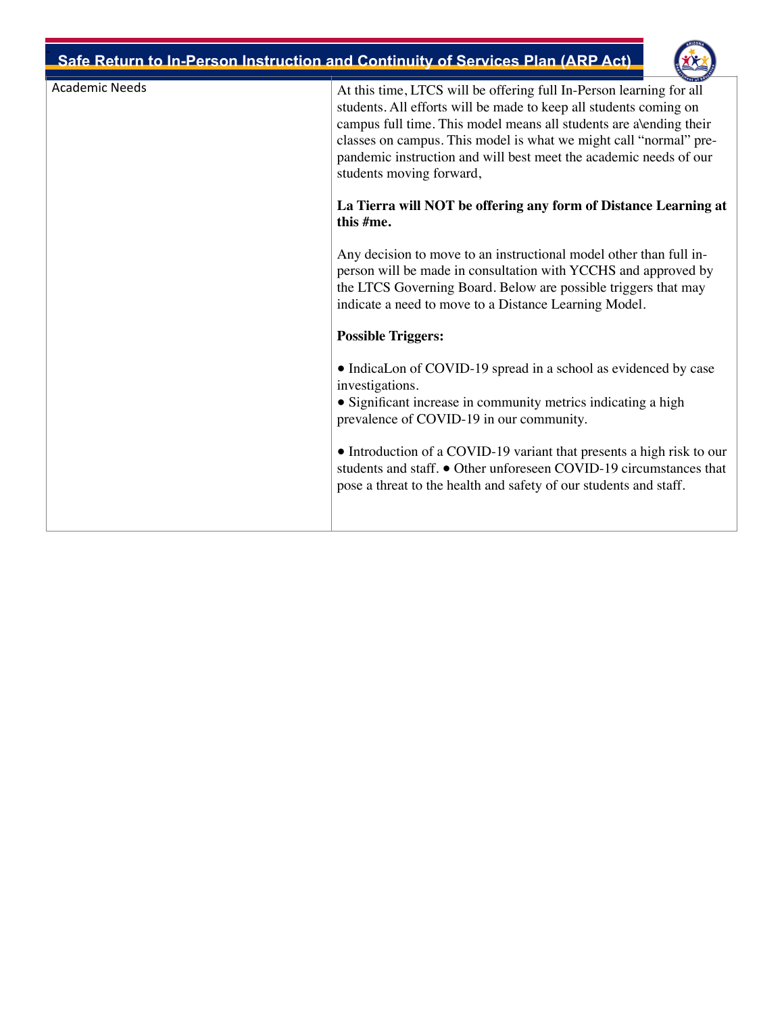

| <b>Academic Needs</b> | At this time, LTCS will be offering full In-Person learning for all<br>students. All efforts will be made to keep all students coming on<br>campus full time. This model means all students are alending their<br>classes on campus. This model is what we might call "normal" pre-<br>pandemic instruction and will best meet the academic needs of our<br>students moving forward, |
|-----------------------|--------------------------------------------------------------------------------------------------------------------------------------------------------------------------------------------------------------------------------------------------------------------------------------------------------------------------------------------------------------------------------------|
|                       | La Tierra will NOT be offering any form of Distance Learning at<br>this #me.                                                                                                                                                                                                                                                                                                         |
|                       | Any decision to move to an instructional model other than full in-<br>person will be made in consultation with YCCHS and approved by<br>the LTCS Governing Board. Below are possible triggers that may<br>indicate a need to move to a Distance Learning Model.                                                                                                                      |
|                       | <b>Possible Triggers:</b>                                                                                                                                                                                                                                                                                                                                                            |
|                       | • IndicaLon of COVID-19 spread in a school as evidenced by case<br>investigations.<br>• Significant increase in community metrics indicating a high<br>prevalence of COVID-19 in our community.                                                                                                                                                                                      |
|                       | • Introduction of a COVID-19 variant that presents a high risk to our<br>students and staff. • Other unforeseen COVID-19 circumstances that<br>pose a threat to the health and safety of our students and staff.                                                                                                                                                                     |
|                       |                                                                                                                                                                                                                                                                                                                                                                                      |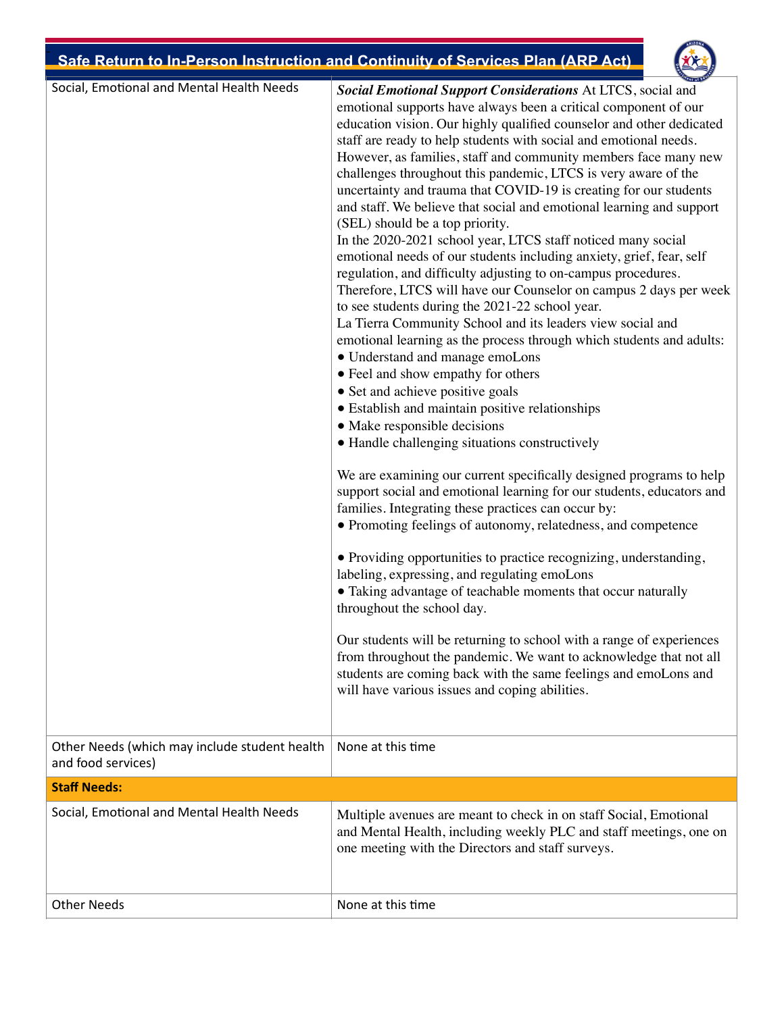

| Social, Emotional and Mental Health Needs     | Social Emotional Support Considerations At LTCS, social and                                                                                  |
|-----------------------------------------------|----------------------------------------------------------------------------------------------------------------------------------------------|
|                                               | emotional supports have always been a critical component of our                                                                              |
|                                               | education vision. Our highly qualified counselor and other dedicated                                                                         |
|                                               | staff are ready to help students with social and emotional needs.<br>However, as families, staff and community members face many new         |
|                                               | challenges throughout this pandemic, LTCS is very aware of the                                                                               |
|                                               | uncertainty and trauma that COVID-19 is creating for our students                                                                            |
|                                               | and staff. We believe that social and emotional learning and support                                                                         |
|                                               | (SEL) should be a top priority.                                                                                                              |
|                                               | In the 2020-2021 school year, LTCS staff noticed many social                                                                                 |
|                                               | emotional needs of our students including anxiety, grief, fear, self                                                                         |
|                                               | regulation, and difficulty adjusting to on-campus procedures.                                                                                |
|                                               | Therefore, LTCS will have our Counselor on campus 2 days per week                                                                            |
|                                               | to see students during the 2021-22 school year.                                                                                              |
|                                               | La Tierra Community School and its leaders view social and                                                                                   |
|                                               | emotional learning as the process through which students and adults:                                                                         |
|                                               | • Understand and manage emoLons                                                                                                              |
|                                               | • Feel and show empathy for others                                                                                                           |
|                                               | • Set and achieve positive goals                                                                                                             |
|                                               | • Establish and maintain positive relationships                                                                                              |
|                                               | • Make responsible decisions                                                                                                                 |
|                                               | • Handle challenging situations constructively                                                                                               |
|                                               |                                                                                                                                              |
|                                               | We are examining our current specifically designed programs to help<br>support social and emotional learning for our students, educators and |
|                                               | families. Integrating these practices can occur by:                                                                                          |
|                                               | • Promoting feelings of autonomy, relatedness, and competence                                                                                |
|                                               |                                                                                                                                              |
|                                               | • Providing opportunities to practice recognizing, understanding,                                                                            |
|                                               | labeling, expressing, and regulating emoLons                                                                                                 |
|                                               | • Taking advantage of teachable moments that occur naturally                                                                                 |
|                                               | throughout the school day.                                                                                                                   |
|                                               | Our students will be returning to school with a range of experiences                                                                         |
|                                               | from throughout the pandemic. We want to acknowledge that not all                                                                            |
|                                               | students are coming back with the same feelings and emoLons and                                                                              |
|                                               | will have various issues and coping abilities.                                                                                               |
|                                               |                                                                                                                                              |
|                                               |                                                                                                                                              |
| Other Needs (which may include student health | None at this time                                                                                                                            |
| and food services)                            |                                                                                                                                              |
| <b>Staff Needs:</b>                           |                                                                                                                                              |
| Social, Emotional and Mental Health Needs     | Multiple avenues are meant to check in on staff Social, Emotional                                                                            |
|                                               | and Mental Health, including weekly PLC and staff meetings, one on                                                                           |
|                                               | one meeting with the Directors and staff surveys.                                                                                            |
|                                               |                                                                                                                                              |
|                                               |                                                                                                                                              |
| <b>Other Needs</b>                            | None at this time                                                                                                                            |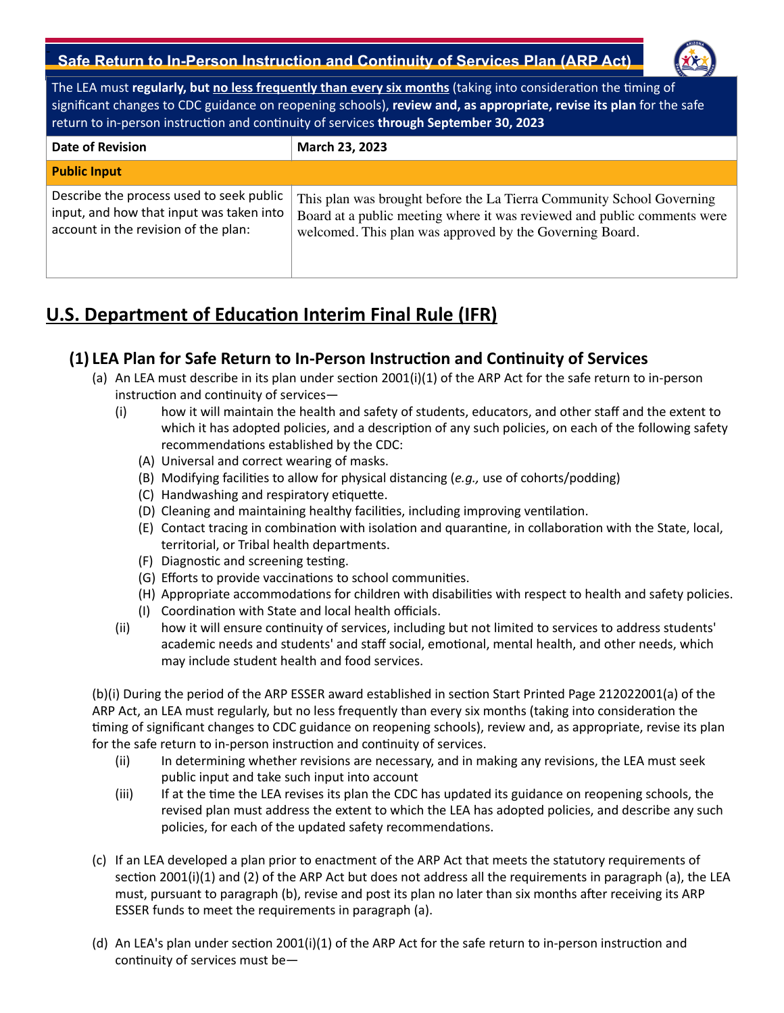

The LEA must **regularly, but no less frequently than every six months** (taking into consideration the timing of significant changes to CDC guidance on reopening schools), **review and, as appropriate, revise its plan** for the safe return to in-person instruction and continuity of services **through September 30, 2023**

| <b>Date of Revision</b>                                                                                                      | March 23, 2023                                                                                                                                                                                                |
|------------------------------------------------------------------------------------------------------------------------------|---------------------------------------------------------------------------------------------------------------------------------------------------------------------------------------------------------------|
| <b>Public Input</b>                                                                                                          |                                                                                                                                                                                                               |
| Describe the process used to seek public<br>input, and how that input was taken into<br>account in the revision of the plan: | This plan was brought before the La Tierra Community School Governing<br>Board at a public meeting where it was reviewed and public comments were<br>welcomed. This plan was approved by the Governing Board. |

# **U.S. Department of Education Interim Final Rule (IFR)**

### **(1) LEA Plan for Safe Return to In-Person Instruction and Continuity of Services**

- (a) An LEA must describe in its plan under section 2001(i)(1) of the ARP Act for the safe return to in-person instruction and continuity of services—
	- (i) how it will maintain the health and safety of students, educators, and other staff and the extent to which it has adopted policies, and a description of any such policies, on each of the following safety recommendations established by the CDC:
		- (A) Universal and correct wearing of masks.
		- (B) Modifying facilities to allow for physical distancing (*e.g.,* use of cohorts/podding)
		- (C) Handwashing and respiratory etiquette.
		- (D) Cleaning and maintaining healthy facilities, including improving ventilation.
		- (E) Contact tracing in combination with isolation and quarantine, in collaboration with the State, local, territorial, or Tribal health departments.
		- (F) Diagnostic and screening testing.
		- (G) Efforts to provide vaccinations to school communities.
		- (H) Appropriate accommodations for children with disabilities with respect to health and safety policies.
		- (I) Coordination with State and local health officials.
	- (ii) how it will ensure continuity of services, including but not limited to services to address students' academic needs and students' and staff social, emotional, mental health, and other needs, which may include student health and food services.

(b)(i) During the period of the ARP ESSER award established in section Start Printed Page 212022001(a) of the ARP Act, an LEA must regularly, but no less frequently than every six months (taking into consideration the timing of significant changes to CDC guidance on reopening schools), review and, as appropriate, revise its plan for the safe return to in-person instruction and continuity of services.

- (ii) In determining whether revisions are necessary, and in making any revisions, the LEA must seek public input and take such input into account
- (iii) If at the time the LEA revises its plan the CDC has updated its guidance on reopening schools, the revised plan must address the extent to which the LEA has adopted policies, and describe any such policies, for each of the updated safety recommendations.
- (c) If an LEA developed a plan prior to enactment of the ARP Act that meets the statutory requirements of section 2001(i)(1) and (2) of the ARP Act but does not address all the requirements in paragraph (a), the LEA must, pursuant to paragraph (b), revise and post its plan no later than six months after receiving its ARP ESSER funds to meet the requirements in paragraph (a).
- (d) An LEA's plan under section 2001(i)(1) of the ARP Act for the safe return to in-person instruction and continuity of services must be—